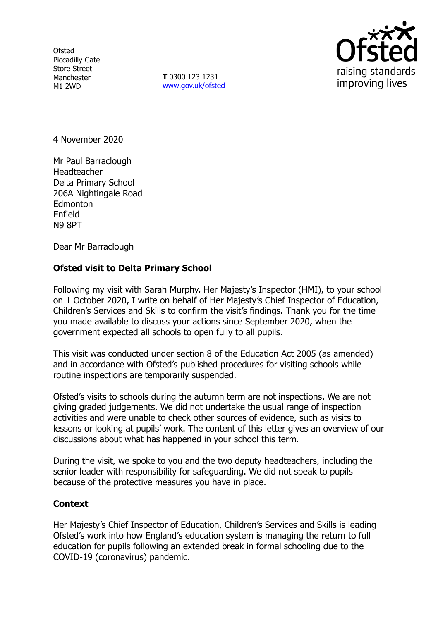**Ofsted** Piccadilly Gate Store Street Manchester M1 2WD

**T** 0300 123 1231 [www.gov.uk/ofsted](http://www.gov.uk/ofsted)



4 November 2020

Mr Paul Barraclough Headteacher Delta Primary School 206A Nightingale Road **Edmonton** Enfield N9 8PT

Dear Mr Barraclough

## **Ofsted visit to Delta Primary School**

Following my visit with Sarah Murphy, Her Majesty's Inspector (HMI), to your school on 1 October 2020, I write on behalf of Her Majesty's Chief Inspector of Education, Children's Services and Skills to confirm the visit's findings. Thank you for the time you made available to discuss your actions since September 2020, when the government expected all schools to open fully to all pupils.

This visit was conducted under section 8 of the Education Act 2005 (as amended) and in accordance with Ofsted's published procedures for visiting schools while routine inspections are temporarily suspended.

Ofsted's visits to schools during the autumn term are not inspections. We are not giving graded judgements. We did not undertake the usual range of inspection activities and were unable to check other sources of evidence, such as visits to lessons or looking at pupils' work. The content of this letter gives an overview of our discussions about what has happened in your school this term.

During the visit, we spoke to you and the two deputy headteachers, including the senior leader with responsibility for safeguarding. We did not speak to pupils because of the protective measures you have in place.

## **Context**

Her Majesty's Chief Inspector of Education, Children's Services and Skills is leading Ofsted's work into how England's education system is managing the return to full education for pupils following an extended break in formal schooling due to the COVID-19 (coronavirus) pandemic.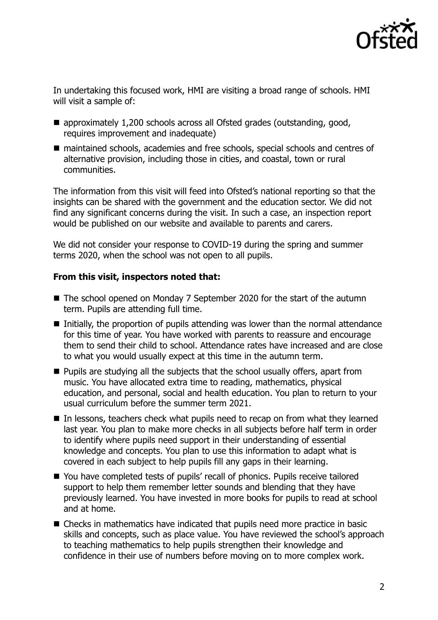

In undertaking this focused work, HMI are visiting a broad range of schools. HMI will visit a sample of:

- approximately 1,200 schools across all Ofsted grades (outstanding, good, requires improvement and inadequate)
- maintained schools, academies and free schools, special schools and centres of alternative provision, including those in cities, and coastal, town or rural communities.

The information from this visit will feed into Ofsted's national reporting so that the insights can be shared with the government and the education sector. We did not find any significant concerns during the visit. In such a case, an inspection report would be published on our website and available to parents and carers.

We did not consider your response to COVID-19 during the spring and summer terms 2020, when the school was not open to all pupils.

## **From this visit, inspectors noted that:**

- The school opened on Monday 7 September 2020 for the start of the autumn term. Pupils are attending full time.
- Initially, the proportion of pupils attending was lower than the normal attendance for this time of year. You have worked with parents to reassure and encourage them to send their child to school. Attendance rates have increased and are close to what you would usually expect at this time in the autumn term.
- $\blacksquare$  Pupils are studying all the subjects that the school usually offers, apart from music. You have allocated extra time to reading, mathematics, physical education, and personal, social and health education. You plan to return to your usual curriculum before the summer term 2021.
- In lessons, teachers check what pupils need to recap on from what they learned last year. You plan to make more checks in all subjects before half term in order to identify where pupils need support in their understanding of essential knowledge and concepts. You plan to use this information to adapt what is covered in each subject to help pupils fill any gaps in their learning.
- You have completed tests of pupils' recall of phonics. Pupils receive tailored support to help them remember letter sounds and blending that they have previously learned. You have invested in more books for pupils to read at school and at home.
- Checks in mathematics have indicated that pupils need more practice in basic skills and concepts, such as place value. You have reviewed the school's approach to teaching mathematics to help pupils strengthen their knowledge and confidence in their use of numbers before moving on to more complex work.